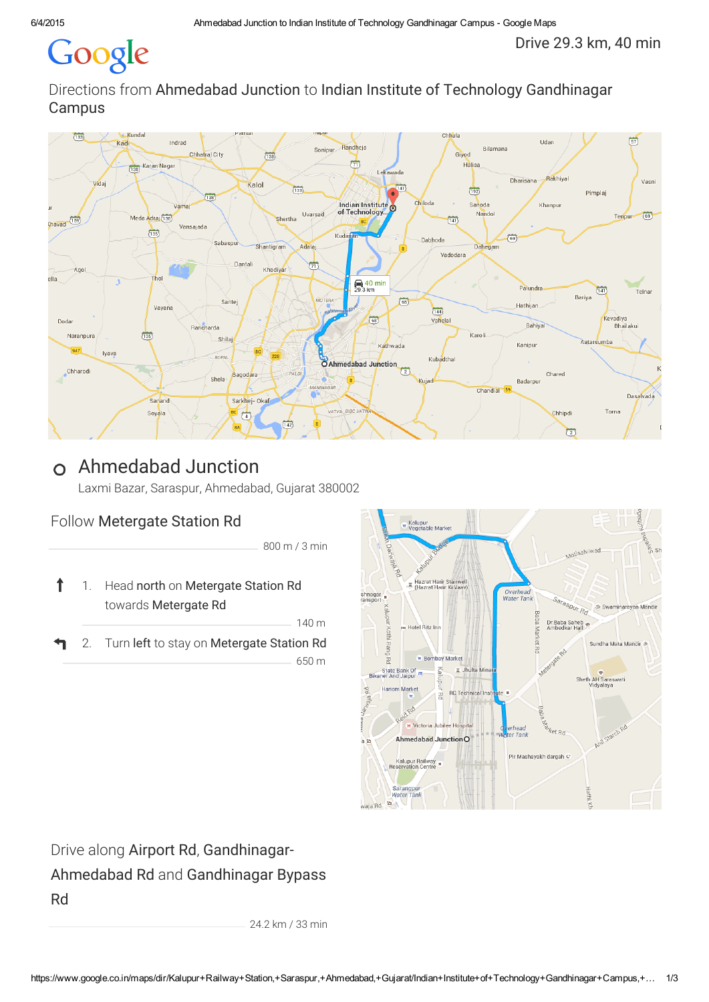## Google

Drive 29.3 km, 40 min

Directions from Ahmedabad Junction to Indian Institute of Technology Gandhinagar Campus



## Ahmedabad Junction

Laxmi Bazar, Saraspur, Ahmedabad, Gujarat 380002

## Follow Metergate Station Rd

800 m / 3 min

↑ 1. Head north on Metergate Station Rd towards Metergate Rd

140 m

2. Turn left to stay on Metergate Station Rd 650 m



Drive along Airport Rd, Gandhinagar-Ahmedabad Rd and Gandhinagar Bypass Rd

24.2 km / 33 min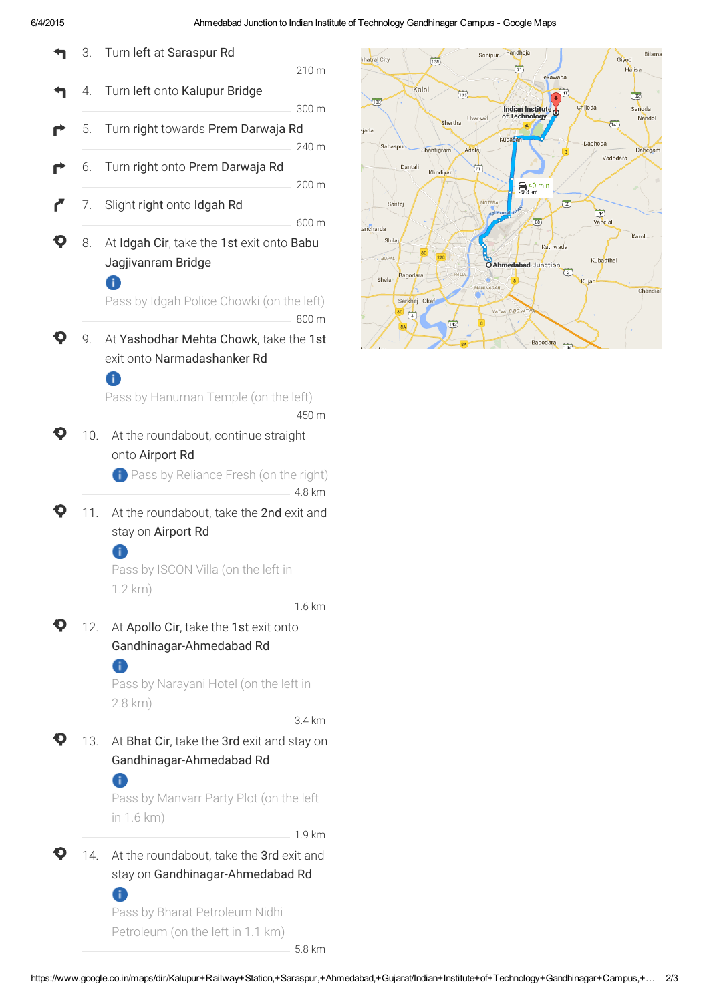